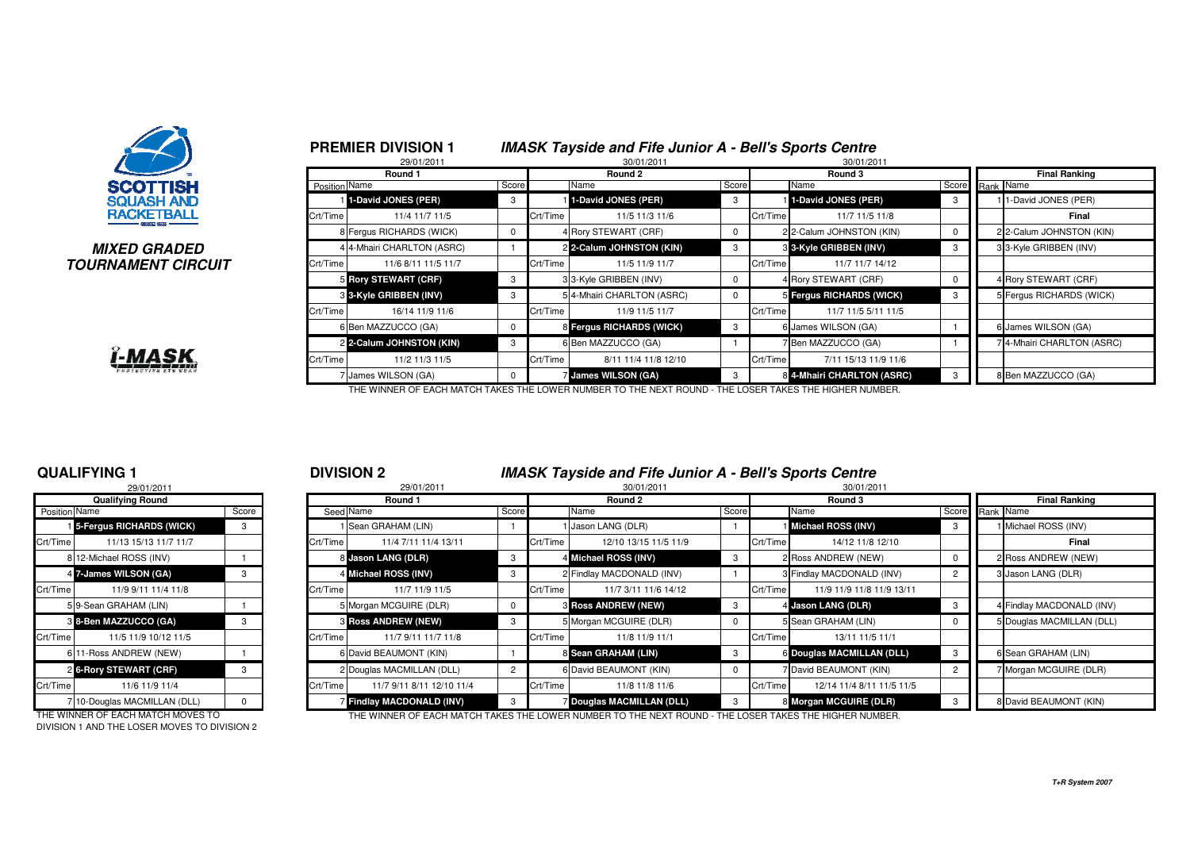

#### **MIXED GRADEDTOURNAMENT CIRCUIT**



|              |               | <b>PREMIER DIVISION 1</b>     |          |          | <b>IMASK Tayside and Fife Junior A - Bell's Sports Centre</b> |             |          |                            |                 |                           |
|--------------|---------------|-------------------------------|----------|----------|---------------------------------------------------------------|-------------|----------|----------------------------|-----------------|---------------------------|
|              |               | 29/01/2011<br>Round 1         |          |          | 30/01/2011<br>Round 2                                         |             |          | 30/01/2011<br>Round 3      |                 | <b>Final Ranking</b>      |
|              | Position Name |                               | Score    |          | Name                                                          | Score       |          | Name                       | Score Rank Name |                           |
|              |               | 1-David JONES (PER)           | 3        |          | 1-David JONES (PER)                                           | 3           |          | 1-David JONES (PER)        | 3               | 11-David JONES (PER)      |
|              | Crt/Time      | 11/4 11/7 11/5                |          | Crt/Time | 11/5 11/3 11/6                                                |             | Crt/Time | 11/7 11/5 11/8             |                 | Final                     |
|              |               | 8 Fergus RICHARDS (WICK)      | 0        |          | 4 Rory STEWART (CRF)                                          | 0           |          | 2 2-Calum JOHNSTON (KIN)   | 0               | 2 2-Calum JOHNSTON (KIN)  |
| D            |               | 4 4-Mhairi CHARLTON (ASRC)    |          |          | 2 2-Calum JOHNSTON (KIN)                                      | 3           |          | 3 3-Kyle GRIBBEN (INV)     | 3               | 3 3-Kyle GRIBBEN (INV)    |
| <b>?CUIT</b> | Crt/Time      | 11/6 8/11 11/5 11/7           |          | Crt/Time | 11/5 11/9 11/7                                                |             | Crt/Time | 11/7 11/7 14/12            |                 |                           |
|              |               | 5 Rory STEWART (CRF)          | 3        |          | 3 3-Kyle GRIBBEN (INV)                                        | 0           |          | 4 Rory STEWART (CRF)       | 0               | 4 Rory STEWART (CRF)      |
|              |               | <b>8 3-Kyle GRIBBEN (INV)</b> | 3        |          | 5 4-Mhairi CHARLTON (ASRC)                                    | $\mathbf 0$ |          | 5 Fergus RICHARDS (WICK)   | 3               | 5 Fergus RICHARDS (WICK)  |
|              | Crt/Time      | 16/14 11/9 11/6               |          | Crt/Time | 11/9 11/5 11/7                                                |             | Crt/Time | 11/7 11/5 5/11 11/5        |                 |                           |
|              |               | 6 Ben MAZZUCCO (GA)           | 0        |          | 8 Fergus RICHARDS (WICK)                                      | 3           |          | 6 James WILSON (GA)        |                 | 6 James WILSON (GA)       |
|              |               | 2 2-Calum JOHNSTON (KIN)      | 3        |          | 6 Ben MAZZUCCO (GA)                                           |             |          | 7 Ben MAZZUCCO (GA)        |                 | 74-Mhairi CHARLTON (ASRC) |
|              | Crt/Time      | 11/2 11/3 11/5                |          | Crt/Time | 8/11 11/4 11/8 12/10                                          |             | Crt/Time | 7/11 15/13 11/9 11/6       |                 |                           |
|              |               | James WILSON (GA)             | $\Omega$ |          | <b>James WILSON (GA)</b>                                      | 3           |          | 8 4-Mhairi CHARLTON (ASRC) | 3               | 8 Ben MAZZUCCO (GA)       |

THE WINNER OF EACH MATCH TAKES THE LOWER NUMBER TO THE NEXT ROUND - THE LOSER TAKES THE HIGHER NUMBER.

#### **QUALIFYING 1**

|               | 29/01/2011                        |          |  |
|---------------|-----------------------------------|----------|--|
|               | <b>Qualifying Round</b>           |          |  |
| Position Name |                                   | Score    |  |
|               | <b>1</b> 5-Fergus RICHARDS (WICK) | 3        |  |
| Crt/Time      | 11/13 15/13 11/7 11/7             |          |  |
|               | 8 12-Michael ROSS (INV)           |          |  |
|               | 4 7-James WILSON (GA)             | 3        |  |
| Crt/Time      | 11/9 9/11 11/4 11/8               |          |  |
|               | 59-Sean GRAHAM (LIN)              |          |  |
|               | 3 8-Ben MAZZUCCO (GA)             | 3        |  |
| Crt/Time      | 11/5 11/9 10/12 11/5              |          |  |
|               | 6 11-Ross ANDREW (NEW)            |          |  |
|               | 2 6-Rory STEWART (CRF)            | 3        |  |
| Crt/Time      | 11/6 11/9 11/4                    |          |  |
|               | 710-Douglas MACMILLAN (DLL)       | $\Omega$ |  |

DIVISION 1 AND THE LOSER MOVES TO DIVISION 2

### <sup>1</sup> <sup>2</sup> **DIVISION 2 IMASK Tayside and Fife Junior A - Bell's Sports Centre**

|               | 29/01/2011                  |       |          | 29/01/2011                 |       | 30/01/2011<br>30/01/2011 |                                |       |          |                           |                 |                      |                           |  |
|---------------|-----------------------------|-------|----------|----------------------------|-------|--------------------------|--------------------------------|-------|----------|---------------------------|-----------------|----------------------|---------------------------|--|
|               | <b>Qualifying Round</b>     |       |          | Round 1                    |       |                          | Round 2                        |       |          | Round 3                   |                 | <b>Final Ranking</b> |                           |  |
| Position Name |                             | Score |          | Seed Name                  | Score |                          | Name                           | Score |          | Name                      | Score Rank Name |                      |                           |  |
|               | 15-Fergus RICHARDS (WICK)   | 3     |          | 1 Sean GRAHAM (LIN)        |       |                          | Jason LANG (DLR)               |       |          | Michael ROSS (INV)        |                 |                      | Michael ROSS (INV)        |  |
| Crt/Time      | 11/13 15/13 11/7 11/7       |       | Crt/Time | 11/4 7/11 11/4 13/11       |       | Crt/Time                 | 12/10 13/15 11/5 11/9          |       | Crt/Time | 14/12 11/8 12/10          |                 |                      | Final                     |  |
|               | 8 12-Michael ROSS (INV)     |       |          | 8 Jason LANG (DLR)         |       |                          | 4 Michael ROSS (INV)           | -3    |          | 2 Ross ANDREW (NEW)       |                 |                      | 2 Ross ANDREW (NEW)       |  |
|               | 4 7-James WILSON (GA)       | 3     |          | 4 Michael ROSS (INV)       |       |                          | 2 Findlay MACDONALD (INV)      |       |          | 3 Findlay MACDONALD (INV) |                 |                      | 3 Jason LANG (DLR)        |  |
| Crt/Time      | 11/9 9/11 11/4 11/8         |       | Crt/Time | 11/7 11/9 11/5             |       | Crt/Time                 | 11/7 3/11 11/6 14/12           |       | Crt/Time | 11/9 11/9 11/8 11/9 13/11 |                 |                      |                           |  |
|               | 59-Sean GRAHAM (LIN)        |       |          | 5 Morgan MCGUIRE (DLR)     |       |                          | <b>8 Ross ANDREW (NEW)</b>     | -3    |          | 4 Jason LANG (DLR)        |                 |                      | 4 Findlay MACDONALD (INV) |  |
|               | 8 8-Ben MAZZUCCO (GA)       | -3    |          | <b>3 Ross ANDREW (NEW)</b> |       |                          | 5 Morgan MCGUIRE (DLR)         |       |          | 5 Sean GRAHAM (LIN)       |                 |                      | 5 Douglas MACMILLAN (DLL) |  |
| Crt/Time      | 11/5 11/9 10/12 11/5        |       | Crt/Time | 11/7 9/11 11/7 11/8        |       | Crt/Time                 | 11/8 11/9 11/1                 |       | Crt/Time | 13/11 11/5 11/1           |                 |                      |                           |  |
|               | 6 11-Ross ANDREW (NEW)      |       |          | 6 David BEAUMONT (KIN)     |       |                          | 8 Sean GRAHAM (LIN)            | -3    |          | 6 Douglas MACMILLAN (DLL) |                 |                      | 6 Sean GRAHAM (LIN)       |  |
|               | 2 6-Rory STEWART (CRF)      | -3    |          | 2 Douglas MACMILLAN (DLL)  |       |                          | 6 David BEAUMONT (KIN)         |       |          | 7 David BEAUMONT (KIN)    |                 |                      | Morgan MCGUIRE (DLR)      |  |
| Crt/Time      | 11/6 11/9 11/4              |       | Crt/Time | 11/7 9/11 8/11 12/10 11/4  |       | Crt/Time                 | 11/8 11/8 11/6                 |       | Crt/Time | 12/14 11/4 8/11 11/5 11/5 |                 |                      |                           |  |
|               | 710-Douglas MACMILLAN (DLL) |       |          | Findlay MACDONALD (INV)    |       |                          | <b>Douglas MACMILLAN (DLL)</b> | 3     |          | 8 Morgan MCGUIRE (DLR)    |                 |                      | 8 David BEAUMONT (KIN)    |  |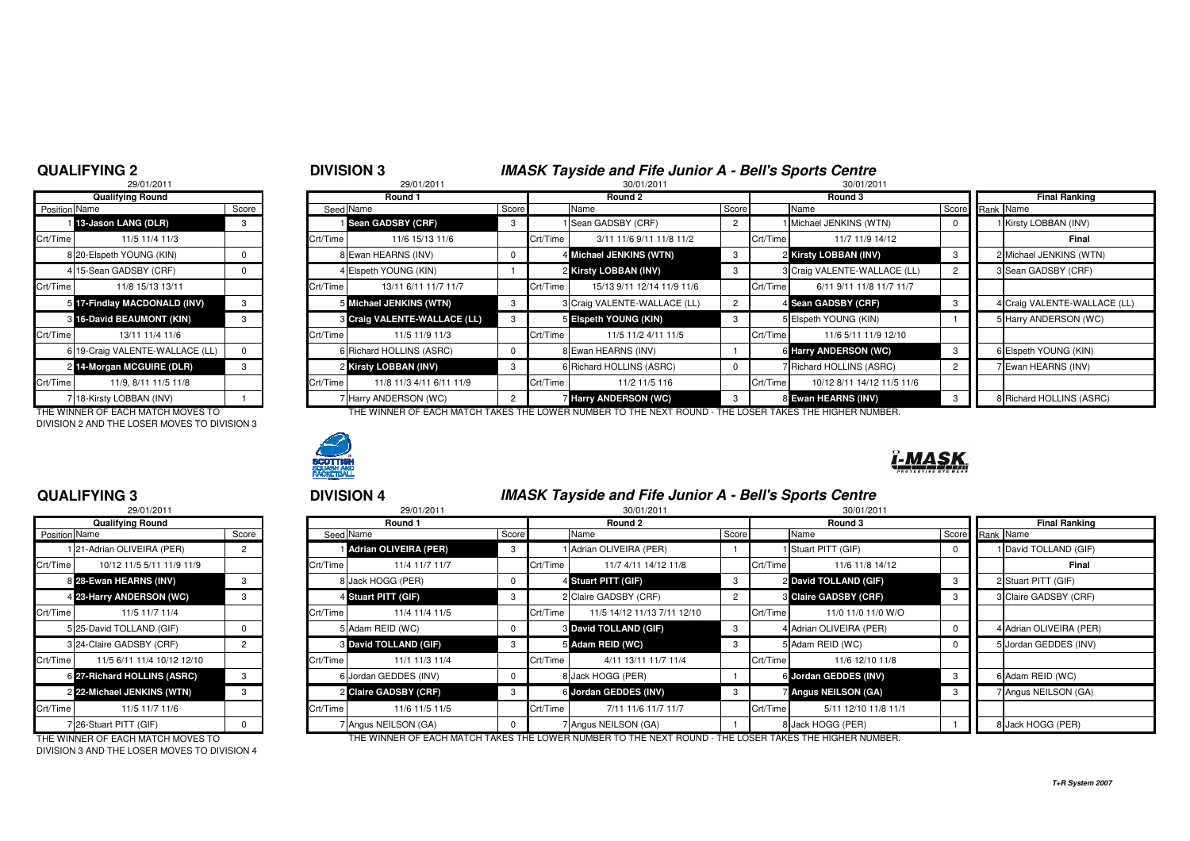#### **QUALIFYING 2**

## 29/01/2011**Qualifying RoundPosition Name** 1**13-Jason LANG (DLR)** 3 8 20-Elspeth YOUNG (KIN) 0 4 15-Sean GADSBY (CRF) 0 56 19-Craig VALENTE-WALLACE (LL) 0 2 14-Morgan MCGUIRE (DLR) 7 18-Kirsty LOBBAN (INV) 1

THE WINNER OF EACH MATCH MOVES TO DIVISION 2 AND THE LOSER MOVES TO DIVISION 3

### **QUALIFYING 3**

|               | 29/01/2011                  |                |          |
|---------------|-----------------------------|----------------|----------|
|               | Qualifying Round            |                |          |
| Position Name |                             | Score          | Seed     |
|               | 1 21-Adrian OLIVEIRA (PER)  | 2              |          |
| Crt/Time      | 10/12 11/5 5/11 11/9 11/9   |                | Crt/Time |
|               | 8 28-Ewan HEARNS (INV)      | 3              | 8        |
|               | 4 23-Harry ANDERSON (WC)    | 3              | 4        |
| Crt/Time      | 11/5 11/7 11/4              |                | Crt/Time |
|               | 5 25-David TOLLAND (GIF)    | $\Omega$       | 5        |
|               | 3 24-Claire GADSBY (CRF)    | $\overline{c}$ | 3        |
| Crt/Time      | 11/5 6/11 11/4 10/12 12/10  |                | Crt/Time |
|               | 6 27-Richard HOLLINS (ASRC) | 3              | 6        |
|               | 2 22-Michael JENKINS (WTN)  | 3              | 2        |
| Crt/Time      | 11/5 11/7 11/6              |                | Crt/Time |
|               | 26-Stuart PITT (GIF)        | $\Omega$       | 7        |

DIVISION 3 AND THE LOSER MOVES TO DIVISION 4

### <sup>2</sup> <sup>3</sup> **DIVISION 3 IMASK Tayside and Fife Junior A - Bell's Sports Centre**

|               | 29/01/2011                        |       |          | 29/01/2011                   |       |          | 30/01/2011                                                          |       |          | 30/01/2011                   |                 |                              |
|---------------|-----------------------------------|-------|----------|------------------------------|-------|----------|---------------------------------------------------------------------|-------|----------|------------------------------|-----------------|------------------------------|
|               | Qualifying Round                  |       |          | Round 1                      |       |          | Round 2                                                             |       |          | Round 3                      |                 | <b>Final Ranking</b>         |
| Position Name |                                   | Score |          | Seed Name                    | Score |          | Name                                                                | Score |          | Name                         | Score Rank Name |                              |
|               | 13-Jason LANG (DLR)               | 3     |          | <b>i</b> Sean GADSBY (CRF)   | -3    |          | I Sean GADSBY (CRF)                                                 |       |          | 1 Michael JENKINS (WTN)      |                 | I Kirsty LOBBAN (INV)        |
| Crt/Time      | 11/5 11/4 11/3                    |       | Crt/Time | 11/6 15/13 11/6              |       | Crt/Time | 3/11 11/6 9/11 11/8 11/2                                            |       | Crt/Time | 11/7 11/9 14/12              |                 | Final                        |
|               | 8 20-Elspeth YOUNG (KIN)          |       |          | 8 Ewan HEARNS (INV)          |       |          | 4 Michael JENKINS (WTN)                                             | -3    |          | 2 Kirsty LOBBAN (INV)        |                 | 2 Michael JENKINS (WTN)      |
|               | 4 15-Sean GADSBY (CRF)            |       |          | 4 Elspeth YOUNG (KIN)        |       |          | 2 Kirsty LOBBAN (INV)                                               | -3    |          | 3 Craig VALENTE-WALLACE (LL) |                 | 3 Sean GADSBY (CRF)          |
| Crt/Time      | 11/8 15/13 13/11                  |       | Crt/Time | 13/11 6/11 11/7 11/7         |       | Crt/Time | 15/13 9/11 12/14 11/9 11/6                                          |       | Crt/Time | 6/11 9/11 11/8 11/7 11/7     |                 |                              |
|               | 5 17-Findlay MACDONALD (INV)      |       |          | 5 Michael JENKINS (WTN)      | 3     |          | 3 Craig VALENTE-WALLACE (LL)                                        |       |          | 4 Sean GADSBY (CRF)          |                 | 4 Craig VALENTE-WALLACE (LL) |
|               | 3 16-David BEAUMONT (KIN)         |       |          | 8 Craig VALENTE-WALLACE (LL) |       |          | 5 Eispeth YOUNG (KIN)                                               | -3    |          | 5 Elspeth YOUNG (KIN)        |                 | Harry ANDERSON (WC)          |
| Crt/Time      | 13/11 11/4 11/6                   |       | Crt/Time | 11/5 11/9 11/3               |       | Crt/Time | 11/5 11/2 4/11 11/5                                                 |       | Crt/Time | 11/6 5/11 11/9 12/10         |                 |                              |
|               | 6 19-Craig VALENTE-WALLACE (LL)   |       |          | 6 Richard HOLLINS (ASRC)     |       |          | 8 Ewan HEARNS (INV)                                                 |       |          | 6 Harry ANDERSON (WC)        |                 | 6 Elspeth YOUNG (KIN)        |
|               | 2 14-Morgan MCGUIRE (DLR)         |       |          | 2 Kirsty LOBBAN (INV)        | 3     |          | 6 Richard HOLLINS (ASRC)                                            |       |          | 7 Richard HOLLINS (ASRC)     |                 | Ewan HEARNS (INV)            |
| Crt/Time      | 11/9, 8/11 11/5 11/8              |       | Crt/Time | 11/8 11/3 4/11 6/11 11/9     |       | Crt/Time | 11/2 11/5 116                                                       |       | Crt/Time | 10/12 8/11 14/12 11/5 11/6   |                 |                              |
|               | 718-Kirsty LOBBAN (INV)           |       |          | 7 Harry ANDERSON (WC)        |       |          | 7 Harry ANDERSON (WC)                                               | -3    |          | 8 Ewan HEARNS (INV)          |                 | 8 Richard HOLLINS (ASRC)     |
|               | THE WINNER OF FACH MATCH MOVES TO |       |          |                              |       |          | THE WINNER OF FACH MATCH TAKES THE LOWER NUMBER TO THE NEXT ROUND - |       |          | OSER TAKES THE HIGHER NUMBER |                 |                              |



### <sup>3</sup> <sup>4</sup> **DIVISION 4 IMASK Tayside and Fife Junior A - Bell's Sports Centre**

| 29/01/2011<br>29/01/2011<br>30/01/2011 |                             |       |  |                    |                              |   |               |                              |                |          | 30/01/2011                |   |                      |                         |
|----------------------------------------|-----------------------------|-------|--|--------------------|------------------------------|---|---------------|------------------------------|----------------|----------|---------------------------|---|----------------------|-------------------------|
|                                        | <b>Qualifying Round</b>     |       |  |                    | Round 1                      |   |               | Round 2                      |                |          | Round 3                   |   | <b>Final Ranking</b> |                         |
| Position Name                          |                             | Score |  | Seed Name<br>Score |                              |   | Score<br>Name |                              |                | Name     | Score Rank Name           |   |                      |                         |
|                                        | 21-Adrian OLIVEIRA (PER)    |       |  |                    | 1 Adrian OLIVEIRA (PER)      | 3 |               | 1 Adrian OLIVEIRA (PER)      |                |          | 1 Stuart PITT (GIF)       |   |                      | David TOLLAND (GIF)     |
| Crt/Time                               | 10/12 11/5 5/11 11/9 11/9   |       |  | Crt/Time           | 11/4 11/7 11/7               |   | Crt/Time      | 11/7 4/11 14/12 11/8         |                | Crt/Time | 11/6 11/8 14/12           |   |                      | Final                   |
|                                        | 8 28-Ewan HEARNS (INV)      |       |  |                    | 8 Jack HOGG (PER)            |   |               | 4 Stuart PITT (GIF)          | -3             |          | 2 David TOLLAND (GIF)     |   |                      | 2 Stuart PITT (GIF)     |
|                                        | 4 23-Harry ANDERSON (WC)    | -3    |  |                    | 4 Stuart PITT (GIF)          | 3 |               | 2 Claire GADSBY (CRF)        | $\overline{2}$ |          | 3 Claire GADSBY (CRF)     | 3 |                      | 3 Claire GADSBY (CRF)   |
| Crt/Time                               | 11/5 11/7 11/4              |       |  | Crt/Time           | 11/4 11/4 11/5               |   | Crt/Time      | 11/5 14/12 11/13 7/11 12/10  |                | Crt/Time | 11/0 11/0 11/0 W/O        |   |                      |                         |
|                                        | 5 25-David TOLLAND (GIF)    |       |  |                    | 5 Adam REID (WC)             |   |               | <b>8 David TOLLAND (GIF)</b> | -3             |          | 4 Adrian OLIVEIRA (PER)   |   |                      | 4 Adrian OLIVEIRA (PER) |
|                                        | 3 24-Claire GADSBY (CRF)    |       |  |                    | <b>8 David TOLLAND (GIF)</b> |   |               | 5 Adam REID (WC)             |                |          | 5 Adam REID (WC)          |   |                      | 5 Jordan GEDDES (INV)   |
| Crt/Time                               | 11/5 6/11 11/4 10/12 12/10  |       |  | Crt/Time           | 11/1 11/3 11/4               |   | Crt/Time      | 4/11 13/11 11/7 11/4         |                | Crt/Time | 11/6 12/10 11/8           |   |                      |                         |
|                                        | 6 27-Richard HOLLINS (ASRC) |       |  |                    | 6 Jordan GEDDES (INV)        |   |               | 8 Jack HOGG (PER)            |                |          | 6 Jordan GEDDES (INV)     |   |                      | 6 Adam REID (WC)        |
|                                        | 2 22-Michael JENKINS (WTN)  |       |  |                    | 2 Claire GADSBY (CRF)        |   |               | 6 Jordan GEDDES (INV)        |                |          | <b>Angus NEILSON (GA)</b> |   |                      | 7 Angus NEILSON (GA)    |
| Crt/Time                               | 11/5 11/7 11/6              |       |  | Crt/Time           | 11/6 11/5 11/5               |   | Crt/Time      | 7/11 11/6 11/7 11/7          |                | Crt/Time | 5/11 12/10 11/8 11/1      |   |                      |                         |
|                                        | 726-Stuart PITT (GIF)       |       |  |                    | 7 Angus NEILSON (GA)         |   |               | 7 Angus NEILSON (GA)         |                |          | 8 Jack HOGG (PER)         |   |                      | 8 Jack HOGG (PER)       |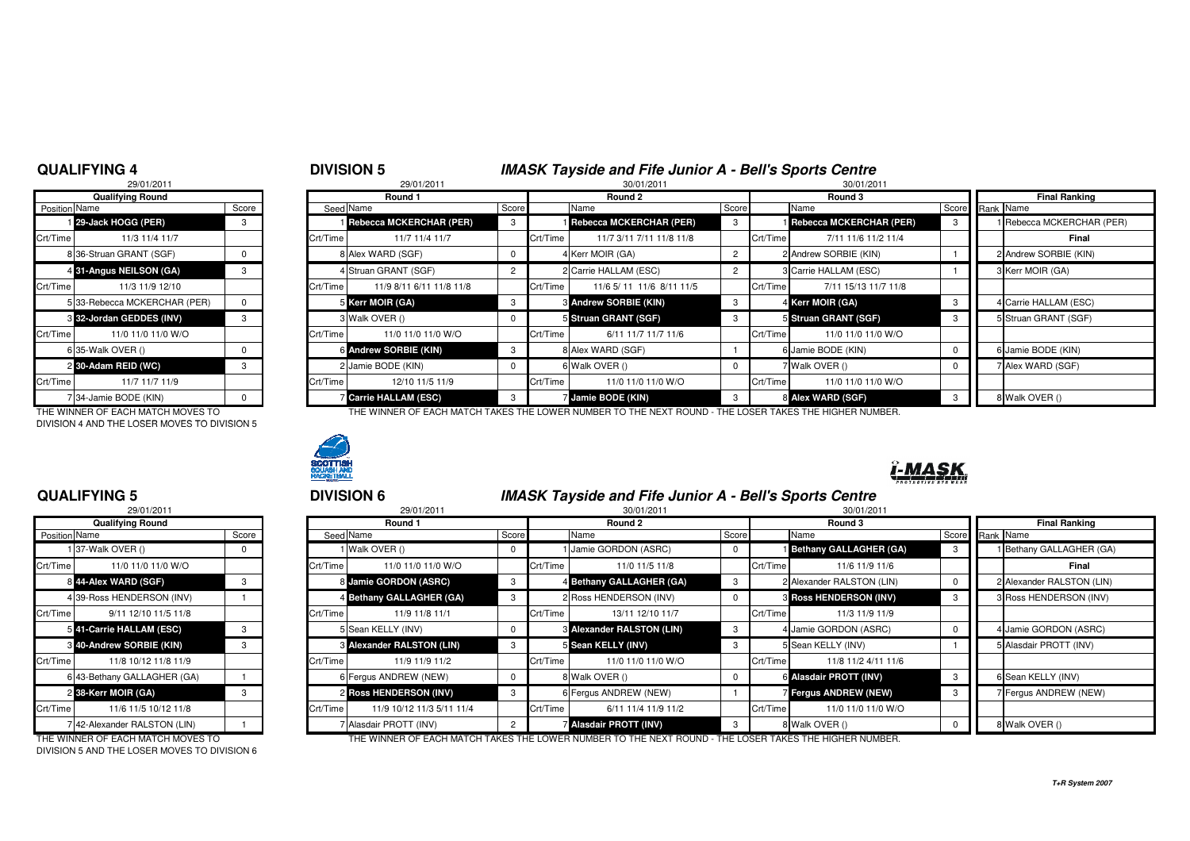#### **QUALIFYING 4**

|            | <b>DIVISION 5</b> | <b>IMASK Tayside and Fife Junior A - Bell's Sports Centre</b> |            |
|------------|-------------------|---------------------------------------------------------------|------------|
| 0010410044 | 0.00101004        | 0.00101                                                       | 0.01011001 |

|                      | 29/01/2011                        |          |                |
|----------------------|-----------------------------------|----------|----------------|
|                      | <b>Qualifying Round</b>           |          |                |
| <b>Position Name</b> |                                   | Score    | Seed           |
|                      | 29-Jack HOGG (PER)                | 3        |                |
| Crt/Time             | 11/3 11/4 11/7                    |          | Crt/Time       |
|                      | 8 36-Struan GRANT (SGF)           | 0        | 8              |
|                      | 4 31-Angus NEILSON (GA)           | 3        | 4              |
| Crt/Time             | 11/3 11/9 12/10                   |          | Crt/Time       |
| 5                    | 33-Rebecca MCKERCHAR (PER)        | 0        | 5              |
|                      | 8 32-Jordan GEDDES (INV)          | 3        | 3              |
| Crt/Time             | 11/0 11/0 11/0 W/O                |          | Crt/Time       |
| 6                    | 35-Walk OVER ()                   | $\Omega$ | 6              |
|                      | 2 30-Adam REID (WC)               | 3        | $\overline{c}$ |
| Crt/Time             | 11/7 11/7 11/9                    |          | Crt/Time       |
| 7                    | 34-Jamie BODE (KIN)               | O        |                |
|                      | THE WINNER OF FAQUIMATOU MOVER TO |          |                |

DIVISION 4 AND THE LOSER MOVES TO DIVISION 5

### **QUALIFYING 5**

|               | 29/01/2011                      |       |                |
|---------------|---------------------------------|-------|----------------|
|               | <b>Qualifying Round</b>         |       |                |
| Position Name |                                 | Score | Seed           |
|               | 1 37-Walk OVER ()               | 0     |                |
| Crt/Time      | 11/0 11/0 11/0 W/O              |       | Crt/Time       |
|               | 844-Alex WARD (SGF)             | 3     | 8              |
|               | 4 39-Ross HENDERSON (INV)       |       | 4              |
| Crt/Time      | 9/11 12/10 11/5 11/8            |       | Crt/Time       |
|               | 541-Carrie HALLAM (ESC)         | 3     | 5              |
|               | <b>3 40-Andrew SORBIE (KIN)</b> | 3     | 3              |
| Crt/Time      | 11/8 10/12 11/8 11/9            |       | Crt/Time       |
|               | 6 43-Bethany GALLAGHER (GA)     |       | 6              |
|               | 2 38-Kerr MOIR (GA)             | 3     | $\overline{c}$ |
| Crt/Time      | 11/6 11/5 10/12 11/8            |       | Crt/Time       |
|               | 7 42-Alexander RALSTON (LIN)    |       | 7              |

DIVISION 5 AND THE LOSER MOVES TO DIVISION 6

| 29/01/2011<br>29/01/2011<br>30/01/2011<br>30/01/2011 |                              |       |          |                                  |  |          |                              |       |          |                                  |  |                           |
|------------------------------------------------------|------------------------------|-------|----------|----------------------------------|--|----------|------------------------------|-------|----------|----------------------------------|--|---------------------------|
|                                                      | <b>Qualifying Round</b>      |       |          | Round 1                          |  |          | Round 2                      |       |          | Round 3                          |  | <b>Final Ranking</b>      |
| Position Name                                        |                              | Score |          | Seed Name<br>Score               |  |          | Name                         | Score |          | Name                             |  | Score Rank Name           |
|                                                      | 129-Jack HOGG (PER)          | -3    |          | <b>I Rebecca MCKERCHAR (PER)</b> |  |          | Rebecca MCKERCHAR (PER)      |       |          | <b>I Rebecca MCKERCHAR (PER)</b> |  | 1 Rebecca MCKERCHAR (PER) |
| Crt/Time                                             | 11/3 11/4 11/7               |       | Crt/Time | 11/7 11/4 11/7                   |  | Crt/Time | 11/7 3/11 7/11 11/8 11/8     |       | Crt/Time | 7/11 11/6 11/2 11/4              |  | Final                     |
|                                                      | 8 36-Struan GRANT (SGF)      |       |          | 8 Alex WARD (SGF)                |  |          | 4 Kerr MOIR (GA)             |       |          | 2 Andrew SORBIE (KIN)            |  | 2 Andrew SORBIE (KIN)     |
|                                                      | 4 31-Angus NEILSON (GA)      | -3    |          | 4 Struan GRANT (SGF)             |  |          | 2 Carrie HALLAM (ESC)        |       |          | 3 Carrie HALLAM (ESC)            |  | 3 Kerr MOIR (GA)          |
| Crt/Time                                             | 11/3 11/9 12/10              |       | Crt/Time | 11/9 8/11 6/11 11/8 11/8         |  | Crt/Time | 11/6 5/ 11 11/6 8/11 11/5    |       | Crt/Time | 7/11 15/13 11/7 11/8             |  |                           |
|                                                      | 5 33-Rebecca MCKERCHAR (PER) |       |          | 5 Kerr MOIR (GA)                 |  |          | <b>8 Andrew SORBIE (KIN)</b> | 3     |          | 4 Kerr MOIR (GA)                 |  | 4 Carrie HALLAM (ESC)     |
|                                                      | 3 32-Jordan GEDDES (INV)     | -3    |          | 3 Walk OVER ()                   |  |          | 5 Struan GRANT (SGF)         |       |          | 5 Struan GRANT (SGF)             |  | 5 Struan GRANT (SGF)      |
| Crt/Time                                             | 11/0 11/0 11/0 W/O           |       | Crt/Time | 11/0 11/0 11/0 W/O               |  | Crt/Time | 6/11 11/7 11/7 11/6          |       | Crt/Time | 11/0 11/0 11/0 W/O               |  |                           |
|                                                      | 6 35-Walk OVER ()            |       |          | 6 Andrew SORBIE (KIN)            |  |          | 8 Alex WARD (SGF)            |       |          | 6 Jamie BODE (KIN)               |  | 6 Jamie BODE (KIN)        |
|                                                      | 2 30-Adam REID (WC)          | -3    |          | 2 Jamie BODE (KIN)               |  |          | 6 Walk OVER ()               |       |          | 7 Walk OVER ()                   |  | 7 Alex WARD (SGF)         |
| Crt/Time                                             | 11/7 11/7 11/9               |       | Crt/Time | 12/10 11/5 11/9                  |  | Crt/Time | 11/0 11/0 11/0 W/O           |       | Crt/Time | 11/0 11/0 11/0 W/O               |  |                           |
|                                                      | 734-Jamie BODE (KIN)         |       |          | <b>Carrie HALLAM (ESC)</b>       |  |          | Jamie BODE (KIN)             |       |          | 8 Alex WARD (SGF)                |  | 8 Walk OVER ()            |

THE WINNER OF EACH MATCH MOVES TO THE WINNER OF EACH MATCH TAKES THE LOWER NUMBER TO THE NEXT ROUND - THE LOSER TAKES THE HIGHER NUMBER.



# ï-MASK

### <sup>5</sup> <sup>6</sup> **DIVISION 6 IMASK Tayside and Fife Junior A - Bell's Sports Centre**

|                      | 29/01/2011                  |       |          | 29/01/2011                       |       |          | 30/01/2011                           |             | 30/01/2011                      |                      |  |                           |
|----------------------|-----------------------------|-------|----------|----------------------------------|-------|----------|--------------------------------------|-------------|---------------------------------|----------------------|--|---------------------------|
|                      | <b>Qualifying Round</b>     |       |          | Round 1                          |       | Round 2  |                                      | Round 3     |                                 | <b>Final Ranking</b> |  |                           |
| <b>Position Name</b> |                             | Score |          | Seed Name                        | Score |          | Name                                 | Score       | Name                            | Score Rank Name      |  |                           |
|                      | 1 37-Walk OVER ()           |       |          | 1 Walk OVER ()                   | 0     |          | Jamie GORDON (ASRC)                  | $^{\circ}$  | Bethany GALLAGHER (GA)          |                      |  | Bethany GALLAGHER (GA)    |
| Crt/Time             | 11/0 11/0 11/0 W/O          |       | Crt/Time | 11/0 11/0 11/0 W/O               |       | Crt/Time | 11/0 11/5 11/8                       |             | Crt/Time<br>11/6 11/9 11/6      |                      |  | Final                     |
|                      | 8 44-Alex WARD (SGF)        |       |          | 8 Jamie GORDON (ASRC)            | -3    |          | 4 Bethany GALLAGHER (GA)             | - 3         | 2 Alexander RALSTON (LIN)       |                      |  | 2 Alexander RALSTON (LIN) |
|                      | 439-Ross HENDERSON (INV)    |       |          | 4 Bethany GALLAGHER (GA)         |       |          | 2 Ross HENDERSON (INV)               |             | <b>8 Ross HENDERSON (INV)</b>   |                      |  | 3 Ross HENDERSON (INV)    |
| Crt/Time             | 9/11 12/10 11/5 11/8        |       | Crt/Time | 11/9 11/8 11/1                   |       | Crt/Time | 13/11 12/10 11/7                     |             | Crt/Time<br>11/3 11/9 11/9      |                      |  |                           |
|                      | 341-Carrie HALLAM (ESC)     |       |          | 5 Sean KELLY (INV)               |       |          | <b>&amp; Alexander RALSTON (LIN)</b> | $_{3}$      | 4 Jamie GORDON (ASRC)           |                      |  | 4 Jamie GORDON (ASRC)     |
|                      | 8 40-Andrew SORBIE (KIN)    |       |          | <b>8 Alexander RALSTON (LIN)</b> |       |          | 5 Sean KELLY (INV)                   | - 3         | 5 Sean KELLY (INV)              |                      |  | 5 Alasdair PROTT (INV)    |
| Crt/Time             | 11/8 10/12 11/8 11/9        |       | Crt/Time | 11/9 11/9 11/2                   |       | Crt/Time | 11/0 11/0 11/0 W/O                   |             | Crt/Time<br>11/8 11/2 4/11 11/6 |                      |  |                           |
|                      | 6 43-Bethany GALLAGHER (GA) |       |          | 6 Fergus ANDREW (NEW)            |       |          | 8 Walk OVER ()                       | $\mathbf 0$ | 6 Alasdair PROTT (INV)          |                      |  | 6 Sean KELLY (INV)        |
|                      | 2 38-Kerr MOIR (GA)         |       |          | 2 Ross HENDERSON (INV)           |       |          | 6 Fergus ANDREW (NEW)                |             | <b>Fergus ANDREW (NEW)</b>      |                      |  | Fergus ANDREW (NEW)       |
| Crt/Time             | 11/6 11/5 10/12 11/8        |       | Crt/Time | 11/9 10/12 11/3 5/11 11/4        |       | Crt/Time | 6/11 11/4 11/9 11/2                  |             | 11/0 11/0 11/0 W/O<br>Crt/Time  |                      |  |                           |
|                      | 742-Alexander RALSTON (LIN) |       |          | 7 Alasdair PROTT (INV)           |       |          | Alasdair PROTT (INV)                 | - 3         | 8 Walk OVER ()                  |                      |  | 8 Walk OVER ()            |
|                      |                             |       |          |                                  |       |          |                                      |             |                                 |                      |  |                           |